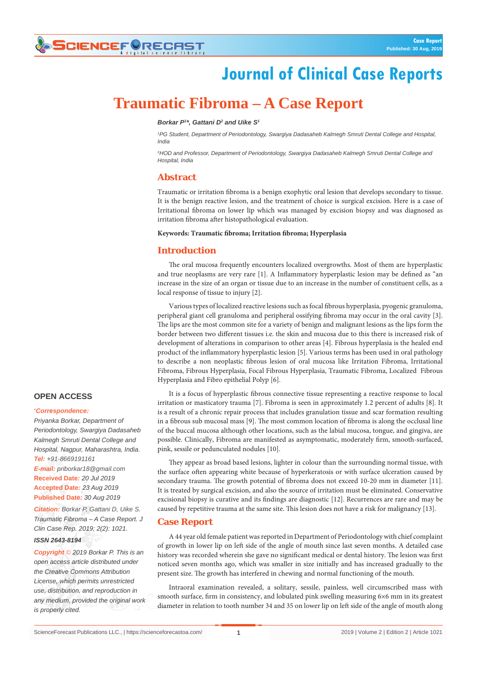# **Journal of Clinical Case Reports**

## **Traumatic Fibroma – A Case Report**

#### *Borkar P1 \*, Gattani D2 and Uike S1*

*1 PG Student, Department of Periodontology, Swargiya Dadasaheb Kalmegh Smruti Dental College and Hospital, India*

*2 HOD and Professor, Department of Periodontology, Swargiya Dadasaheb Kalmegh Smruti Dental College and Hospital, India*

## **Abstract**

Traumatic or irritation fibroma is a benign exophytic oral lesion that develops secondary to tissue. It is the benign reactive lesion, and the treatment of choice is surgical excision. Here is a case of Irritational fibroma on lower lip which was managed by excision biopsy and was diagnosed as irritation fibroma after histopathological evaluation.

#### **Keywords: Traumatic fibroma; Irritation fibroma; Hyperplasia**

#### **Introduction**

The oral mucosa frequently encounters localized overgrowths. Most of them are hyperplastic and true neoplasms are very rare [1]. A Inflammatory hyperplastic lesion may be defined as "an increase in the size of an organ or tissue due to an increase in the number of constituent cells, as a local response of tissue to injury [2].

Various types of localized reactive lesions such as focal fibrous hyperplasia, pyogenic granuloma, peripheral giant cell granuloma and peripheral ossifying fibroma may occur in the oral cavity [3]. The lips are the most common site for a variety of benign and malignant lesions as the lips form the border between two different tissues i.e. the skin and mucosa due to this there is increased risk of development of alterations in comparison to other areas [4]. Fibrous hyperplasia is the healed end product of the inflammatory hyperplastic lesion [5]. Various terms has been used in oral pathology to describe a non neoplastic fibrous lesion of oral mucosa like Irritation Fibroma, Irritational Fibroma, Fibrous Hyperplasia, Focal Fibrous Hyperplasia, Traumatic Fibroma, Localized Fibrous Hyperplasia and Fibro epithelial Polyp [6].

It is a focus of hyperplastic fibrous connective tissue representing a reactive response to local irritation or masticatory trauma [7]. Fibroma is seen in approximately 1.2 percent of adults [8]. It is a result of a chronic repair process that includes granulation tissue and scar formation resulting in a fibrous sub mucosal mass [9]. The most common location of fibroma is along the occlusal line of the buccal mucosa although other locations, such as the labial mucosa, tongue, and gingiva, are possible. Clinically, Fibroma are manifested as asymptomatic, moderately firm, smooth-surfaced, pink, sessile or pedunculated nodules [10].

They appear as broad based lesions, lighter in colour than the surrounding normal tissue, with the surface often appearing white because of hyperkeratosis or with surface ulceration caused by secondary trauma. The growth potential of fibroma does not exceed 10-20 mm in diameter [11]. It is treated by surgical excision, and also the source of irritation must be eliminated. Conservative excisional biopsy is curative and its findings are diagnostic [12]. Recurrences are rare and may be caused by repetitive trauma at the same site. This lesion does not have a risk for malignancy [13].

## **Case Report**

A 44 year old female patient was reported in Department of Periodontology with chief complaint of growth in lower lip on left side of the angle of mouth since last seven months. A detailed case history was recorded wherein she gave no significant medical or dental history. The lesion was first noticed seven months ago, which was smaller in size initially and has increased gradually to the present size. The growth has interfered in chewing and normal functioning of the mouth.

Intraoral examination revealed, a solitary, sessile, painless, well circumscribed mass with smooth surface, firm in consistency, and lobulated pink swelling measuring 6×6 mm in its greatest diameter in relation to tooth number 34 and 35 on lower lip on left side of the angle of mouth along

## **OPEN ACCESS**

#### **\*** *Correspondence:*

*Priyanka Borkar, Department of Periodontology, Swargiya Dadasaheb Kalmegh Smruti Dental College and Hospital, Nagpur, Maharashtra, India. Tel: +91-8669191161 E-mail: priborkar18@gmail.com* **Received Date***: 20 Jul 2019* **Accepted Date***: 23 Aug 2019* **Published Date***: 30 Aug 2019*

*Citation: Borkar P, Gattani D, Uike S. Traumatic Fibroma – A Case Report. J Clin Case Rep. 2019; 2(2): 1021. ISSN 2643-8194*

*Copyright © 2019 Borkar P. This is an open access article distributed under the Creative Commons Attribution License, which permits unrestricted use, distribution, and reproduction in any medium, provided the original work is properly cited.*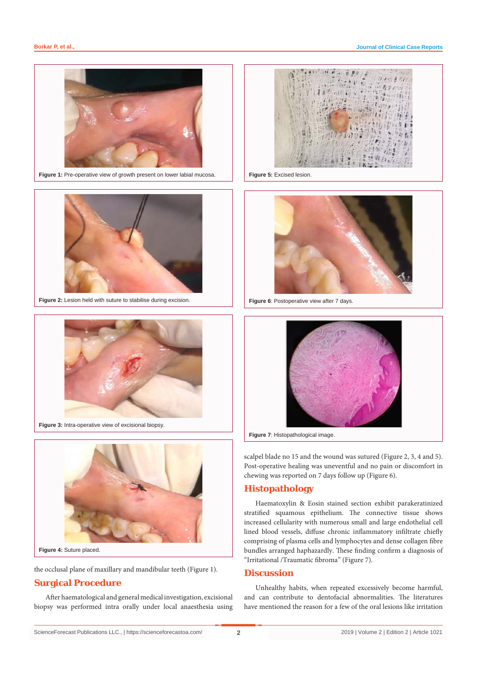

**Figure 1:** Pre-operative view of growth present on lower labial mucosa.



**Figure 2:** Lesion held with suture to stabilise during excision.



**Figure 3:** Intra-operative view of excisional biopsy.



**Figure 4:** Suture placed.

the occlusal plane of maxillary and mandibular teeth (Figure 1).

## **Surgical Procedure**

After haematological and general medical investigation, excisional biopsy was performed intra orally under local anaesthesia using



**Figure 5:** Excised lesion.



**Figure 6**: Postoperative view after 7 days.



**Figure 7**: Histopathological image.

scalpel blade no 15 and the wound was sutured (Figure 2, 3, 4 and 5). Post-operative healing was uneventful and no pain or discomfort in chewing was reported on 7 days follow up (Figure 6).

#### **Histopathology**

Haematoxylin & Eosin stained section exhibit parakeratinized stratified squamous epithelium. The connective tissue shows increased cellularity with numerous small and large endothelial cell lined blood vessels, diffuse chronic inflammatory infiltrate chiefly comprising of plasma cells and lymphocytes and dense collagen fibre bundles arranged haphazardly. These finding confirm a diagnosis of "Irritational /Traumatic fibroma" (Figure 7).

## **Discussion**

Unhealthy habits, when repeated excessively become harmful, and can contribute to dentofacial abnormalities. The literatures have mentioned the reason for a few of the oral lesions like irritation